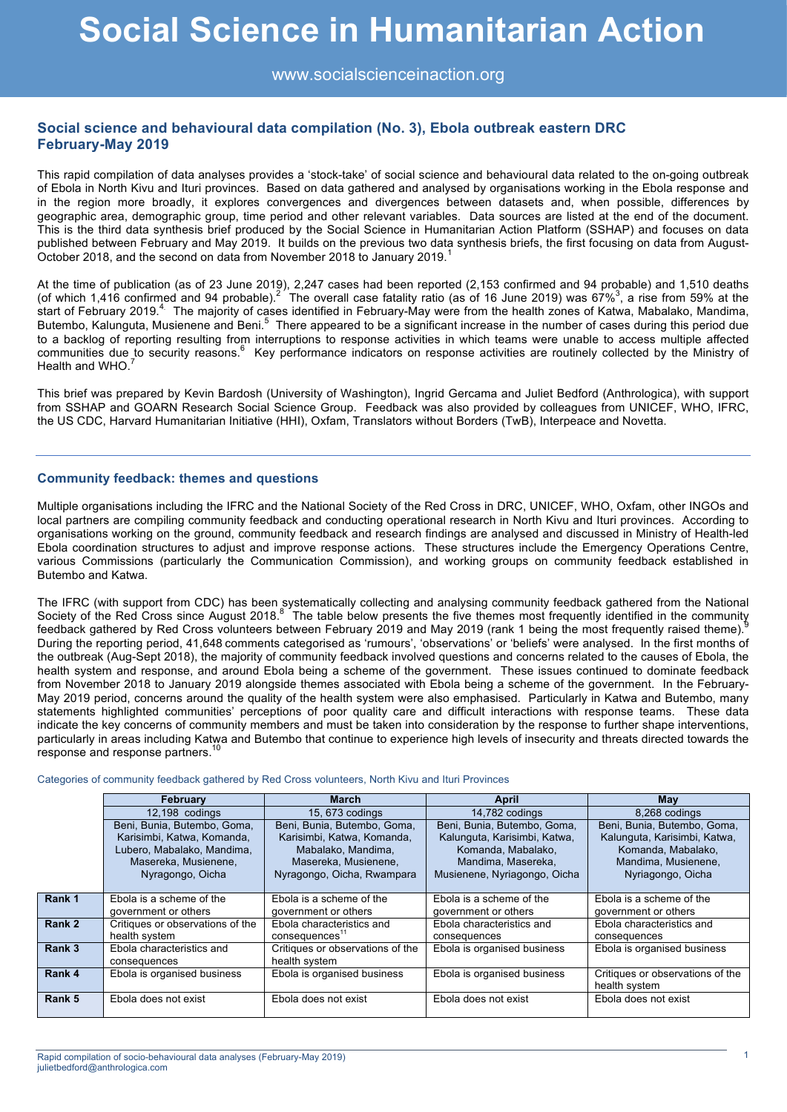www.socialscienceinaction.org

# **Social science and behavioural data compilation (No. 3), Ebola outbreak eastern DRC February-May 2019**

This rapid compilation of data analyses provides a 'stock-take' of social science and behavioural data related to the on-going outbreak of Ebola in North Kivu and Ituri provinces. Based on data gathered and analysed by organisations working in the Ebola response and in the region more broadly, it explores convergences and divergences between datasets and, when possible, differences by geographic area, demographic group, time period and other relevant variables. Data sources are listed at the end of the document. This is the third data synthesis brief produced by the Social Science in Humanitarian Action Platform (SSHAP) and focuses on data published between February and May 2019. It builds on the previous two data synthesis briefs, the first focusing on data from August-October 2018, and the second on data from November 2018 to January 2019.<sup>1</sup>

At the time of publication (as of 23 June 2019), 2,247 cases had been reported (2,153 confirmed and 94 probable) and 1,510 deaths (of which 1,416 confirmed and 94 probable).<sup>2 The</sup> overall case fatality ratio (as of 16 June 2019) was 67%<sup>3</sup>, a rise from 59% at the start of February 2019.<sup>4</sup> The majority of cases identified in February-May were from the health zones of Katwa, Mabalako, Mandima, Butembo, Kalunguta, Musienene and Beni.<sup>5</sup> There appeared to be a significant increase in the number of cases during this period due to a backlog of reporting resulting from interruptions to response activities in which teams were unable to access multiple affected communities due to security reasons.<sup>6</sup> Key performance indicators on response activities are routinely collected by the Ministry of Health and WHO.<sup>7</sup>

This brief was prepared by Kevin Bardosh (University of Washington), Ingrid Gercama and Juliet Bedford (Anthrologica), with support from SSHAP and GOARN Research Social Science Group. Feedback was also provided by colleagues from UNICEF, WHO, IFRC, the US CDC, Harvard Humanitarian Initiative (HHI), Oxfam, Translators without Borders (TwB), Interpeace and Novetta.

#### **Community feedback: themes and questions**

Multiple organisations including the IFRC and the National Society of the Red Cross in DRC, UNICEF, WHO, Oxfam, other INGOs and local partners are compiling community feedback and conducting operational research in North Kivu and Ituri provinces. According to organisations working on the ground, community feedback and research findings are analysed and discussed in Ministry of Health-led Ebola coordination structures to adjust and improve response actions. These structures include the Emergency Operations Centre, various Commissions (particularly the Communication Commission), and working groups on community feedback established in Butembo and Katwa.

The IFRC (with support from CDC) has been systematically collecting and analysing community feedback gathered from the National Society of the Red Cross since August 2018.<sup>8</sup> The table below presents the five themes most frequently identified in the community for the first the most frequently relief themes in the community of the state of themes in feedback gathered by Red Cross volunteers between February 2019 and May 2019 (rank 1 being the most frequently raised theme). During the reporting period, 41,648 comments categorised as 'rumours', 'observations' or 'beliefs' were analysed. In the first months of the outbreak (Aug-Sept 2018), the majority of community feedback involved questions and concerns related to the causes of Ebola, the health system and response, and around Ebola being a scheme of the government. These issues continued to dominate feedback from November 2018 to January 2019 alongside themes associated with Ebola being a scheme of the government. In the February-May 2019 period, concerns around the quality of the health system were also emphasised. Particularly in Katwa and Butembo, many statements highlighted communities' perceptions of poor quality care and difficult interactions with response teams. These data indicate the key concerns of community members and must be taken into consideration by the response to further shape interventions, particularly in areas including Katwa and Butembo that continue to experience high levels of insecurity and threats directed towards the response and response partners.<sup>10</sup>

Categories of community feedback gathered by Red Cross volunteers, North Kivu and Ituri Provinces

|        | February                                                                                                                            | March                                                                                                                                 | April                                                                                                                                   | Mav                                                                                                                           |  |
|--------|-------------------------------------------------------------------------------------------------------------------------------------|---------------------------------------------------------------------------------------------------------------------------------------|-----------------------------------------------------------------------------------------------------------------------------------------|-------------------------------------------------------------------------------------------------------------------------------|--|
|        | 12,198 codings                                                                                                                      | 15, 673 codings                                                                                                                       | 14,782 codings                                                                                                                          | 8,268 codings                                                                                                                 |  |
|        | Beni, Bunia, Butembo, Goma,<br>Karisimbi, Katwa, Komanda,<br>Lubero, Mabalako, Mandima,<br>Masereka, Musienene,<br>Nyragongo, Oicha | Beni, Bunia, Butembo, Goma,<br>Karisimbi, Katwa, Komanda,<br>Mabalako, Mandima,<br>Masereka, Musienene,<br>Nyragongo, Oicha, Rwampara | Beni, Bunia, Butembo, Goma,<br>Kalunguta, Karisimbi, Katwa,<br>Komanda, Mabalako,<br>Mandima, Masereka.<br>Musienene, Nyriagongo, Oicha | Beni, Bunia, Butembo, Goma,<br>Kalunguta, Karisimbi, Katwa,<br>Komanda, Mabalako,<br>Mandima, Musienene.<br>Nyriagongo, Oicha |  |
| Rank 1 | Ebola is a scheme of the<br>government or others                                                                                    | Ebola is a scheme of the<br>government or others                                                                                      | Ebola is a scheme of the<br>government or others                                                                                        | Ebola is a scheme of the<br>government or others                                                                              |  |
| Rank 2 | Critiques or observations of the<br>health system                                                                                   | Ebola characteristics and<br>consequences <sup>11</sup>                                                                               | Ebola characteristics and<br>consequences                                                                                               | Ebola characteristics and<br>consequences                                                                                     |  |
| Rank 3 | Ebola characteristics and<br>consequences                                                                                           | Critiques or observations of the<br>health system                                                                                     | Ebola is organised business                                                                                                             | Ebola is organised business                                                                                                   |  |
| Rank 4 | Ebola is organised business                                                                                                         | Ebola is organised business                                                                                                           | Ebola is organised business                                                                                                             | Critiques or observations of the<br>health system                                                                             |  |
| Rank 5 | Ebola does not exist                                                                                                                | Ebola does not exist                                                                                                                  | Ebola does not exist                                                                                                                    | Ebola does not exist                                                                                                          |  |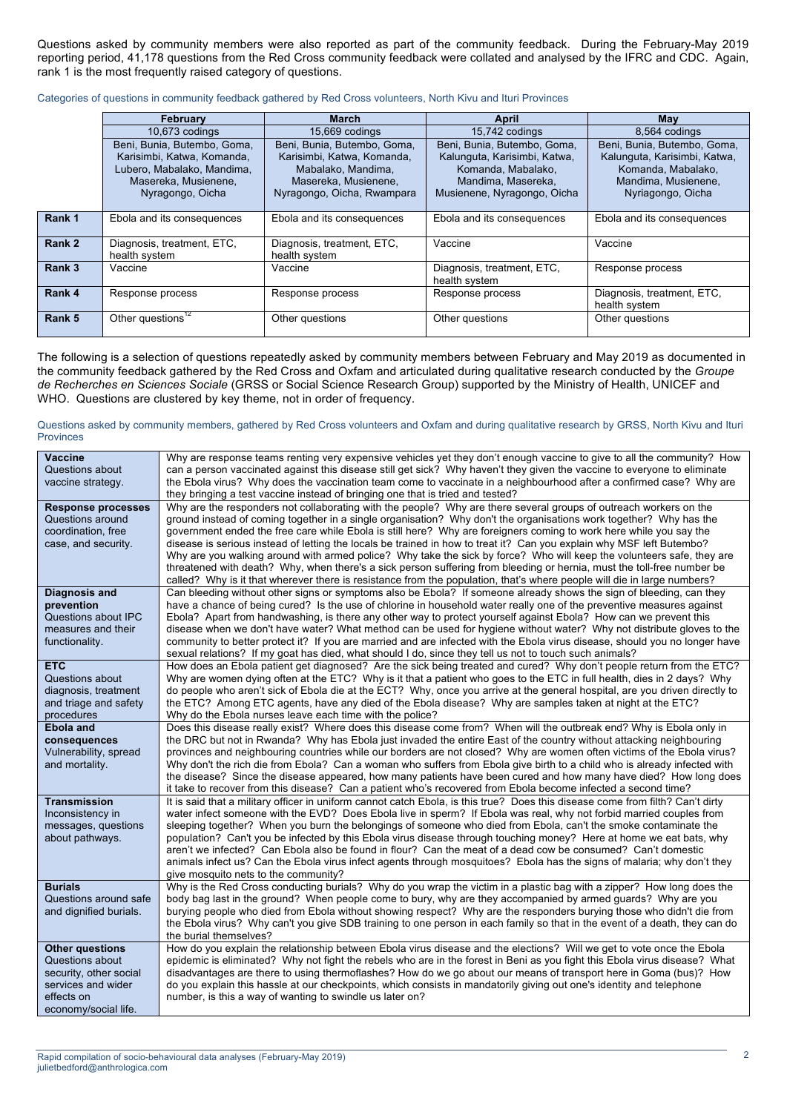Questions asked by community members were also reported as part of the community feedback. During the February-May 2019 reporting period, 41,178 questions from the Red Cross community feedback were collated and analysed by the IFRC and CDC. Again, rank 1 is the most frequently raised category of questions.

|        | <b>February</b>                                                                                                                     | <b>March</b>                                                                                                                          | April                                                                                                                                  | May                                                                                                                           |  |
|--------|-------------------------------------------------------------------------------------------------------------------------------------|---------------------------------------------------------------------------------------------------------------------------------------|----------------------------------------------------------------------------------------------------------------------------------------|-------------------------------------------------------------------------------------------------------------------------------|--|
|        | 10,673 codings                                                                                                                      | 15,669 codings                                                                                                                        | 15,742 codings                                                                                                                         | 8,564 codings                                                                                                                 |  |
|        | Beni, Bunia, Butembo, Goma,<br>Karisimbi, Katwa, Komanda,<br>Lubero, Mabalako, Mandima,<br>Masereka, Musienene,<br>Nyragongo, Oicha | Beni, Bunia, Butembo, Goma,<br>Karisimbi, Katwa, Komanda,<br>Mabalako, Mandima,<br>Masereka, Musienene,<br>Nyragongo, Oicha, Rwampara | Beni, Bunia, Butembo, Goma,<br>Kalunguta, Karisimbi, Katwa,<br>Komanda, Mabalako,<br>Mandima, Masereka,<br>Musienene, Nyragongo, Oicha | Beni, Bunia, Butembo, Goma,<br>Kalunguta, Karisimbi, Katwa,<br>Komanda, Mabalako,<br>Mandima, Musienene,<br>Nyriagongo, Oicha |  |
| Rank 1 | Ebola and its consequences                                                                                                          | Ebola and its consequences                                                                                                            | Ebola and its consequences                                                                                                             | Ebola and its consequences                                                                                                    |  |
| Rank 2 | Diagnosis, treatment, ETC,<br>health system                                                                                         | Diagnosis, treatment, ETC,<br>health system                                                                                           | Vaccine                                                                                                                                | Vaccine                                                                                                                       |  |
| Rank 3 | Vaccine<br>Vaccine                                                                                                                  |                                                                                                                                       | Diagnosis, treatment, ETC,<br>health system                                                                                            | Response process                                                                                                              |  |
| Rank 4 | Response process                                                                                                                    | Response process                                                                                                                      | Response process                                                                                                                       | Diagnosis, treatment, ETC,<br>health system                                                                                   |  |
| Rank 5 | Other questions <sup>12</sup>                                                                                                       | Other questions                                                                                                                       | Other questions                                                                                                                        | Other questions                                                                                                               |  |

Categories of questions in community feedback gathered by Red Cross volunteers, North Kivu and Ituri Provinces

The following is a selection of questions repeatedly asked by community members between February and May 2019 as documented in the community feedback gathered by the Red Cross and Oxfam and articulated during qualitative research conducted by the *Groupe de Recherches en Sciences Sociale* (GRSS or Social Science Research Group) supported by the Ministry of Health, UNICEF and WHO. Questions are clustered by key theme, not in order of frequency.

#### Questions asked by community members, gathered by Red Cross volunteers and Oxfam and during qualitative research by GRSS, North Kivu and Ituri Provinces

| Why are response teams renting very expensive vehicles yet they don't enough vaccine to give to all the community? How                                                                                                                         |
|------------------------------------------------------------------------------------------------------------------------------------------------------------------------------------------------------------------------------------------------|
| can a person vaccinated against this disease still get sick? Why haven't they given the vaccine to everyone to eliminate                                                                                                                       |
| the Ebola virus? Why does the vaccination team come to vaccinate in a neighbourhood after a confirmed case? Why are                                                                                                                            |
|                                                                                                                                                                                                                                                |
| Why are the responders not collaborating with the people? Why are there several groups of outreach workers on the                                                                                                                              |
| ground instead of coming together in a single organisation? Why don't the organisations work together? Why has the                                                                                                                             |
| government ended the free care while Ebola is still here? Why are foreigners coming to work here while you say the                                                                                                                             |
| disease is serious instead of letting the locals be trained in how to treat it? Can you explain why MSF left Butembo?                                                                                                                          |
| Why are you walking around with armed police? Why take the sick by force? Who will keep the volunteers safe, they are                                                                                                                          |
| threatened with death? Why, when there's a sick person suffering from bleeding or hernia, must the toll-free number be                                                                                                                         |
| called? Why is it that wherever there is resistance from the population, that's where people will die in large numbers?                                                                                                                        |
| Can bleeding without other signs or symptoms also be Ebola? If someone already shows the sign of bleeding, can they                                                                                                                            |
| have a chance of being cured? Is the use of chlorine in household water really one of the preventive measures against                                                                                                                          |
| Ebola? Apart from handwashing, is there any other way to protect yourself against Ebola? How can we prevent this                                                                                                                               |
| disease when we don't have water? What method can be used for hygiene without water? Why not distribute gloves to the                                                                                                                          |
| community to better protect it? If you are married and are infected with the Ebola virus disease, should you no longer have                                                                                                                    |
|                                                                                                                                                                                                                                                |
| How does an Ebola patient get diagnosed? Are the sick being treated and cured? Why don't people return from the ETC?<br>Why are women dying often at the ETC? Why is it that a patient who goes to the ETC in full health, dies in 2 days? Why |
| do people who aren't sick of Ebola die at the ECT? Why, once you arrive at the general hospital, are you driven directly to                                                                                                                    |
| the ETC? Among ETC agents, have any died of the Ebola disease? Why are samples taken at night at the ETC?                                                                                                                                      |
|                                                                                                                                                                                                                                                |
| Does this disease really exist? Where does this disease come from? When will the outbreak end? Why is Ebola only in                                                                                                                            |
| the DRC but not in Rwanda? Why has Ebola just invaded the entire East of the country without attacking neighbouring                                                                                                                            |
| provinces and neighbouring countries while our borders are not closed? Why are women often victims of the Ebola virus?                                                                                                                         |
| Why don't the rich die from Ebola? Can a woman who suffers from Ebola give birth to a child who is already infected with                                                                                                                       |
| the disease? Since the disease appeared, how many patients have been cured and how many have died? How long does                                                                                                                               |
| it take to recover from this disease? Can a patient who's recovered from Ebola become infected a second time?                                                                                                                                  |
| It is said that a military officer in uniform cannot catch Ebola, is this true? Does this disease come from filth? Can't dirty                                                                                                                 |
| water infect someone with the EVD? Does Ebola live in sperm? If Ebola was real, why not forbid married couples from                                                                                                                            |
| sleeping together? When you burn the belongings of someone who died from Ebola, can't the smoke contaminate the                                                                                                                                |
| population? Can't you be infected by this Ebola virus disease through touching money? Here at home we eat bats, why                                                                                                                            |
| aren't we infected? Can Ebola also be found in flour? Can the meat of a dead cow be consumed? Can't domestic                                                                                                                                   |
| animals infect us? Can the Ebola virus infect agents through mosquitoes? Ebola has the signs of malaria; why don't they                                                                                                                        |
|                                                                                                                                                                                                                                                |
| Why is the Red Cross conducting burials? Why do you wrap the victim in a plastic bag with a zipper? How long does the                                                                                                                          |
| body bag last in the ground? When people come to bury, why are they accompanied by armed guards? Why are you                                                                                                                                   |
| burying people who died from Ebola without showing respect? Why are the responders burying those who didn't die from                                                                                                                           |
| the Ebola virus? Why can't you give SDB training to one person in each family so that in the event of a death, they can do                                                                                                                     |
| How do you explain the relationship between Ebola virus disease and the elections? Will we get to vote once the Ebola                                                                                                                          |
| epidemic is eliminated? Why not fight the rebels who are in the forest in Beni as you fight this Ebola virus disease? What                                                                                                                     |
|                                                                                                                                                                                                                                                |
|                                                                                                                                                                                                                                                |
| disadvantages are there to using thermoflashes? How do we go about our means of transport here in Goma (bus)? How                                                                                                                              |
| do you explain this hassle at our checkpoints, which consists in mandatorily giving out one's identity and telephone                                                                                                                           |
|                                                                                                                                                                                                                                                |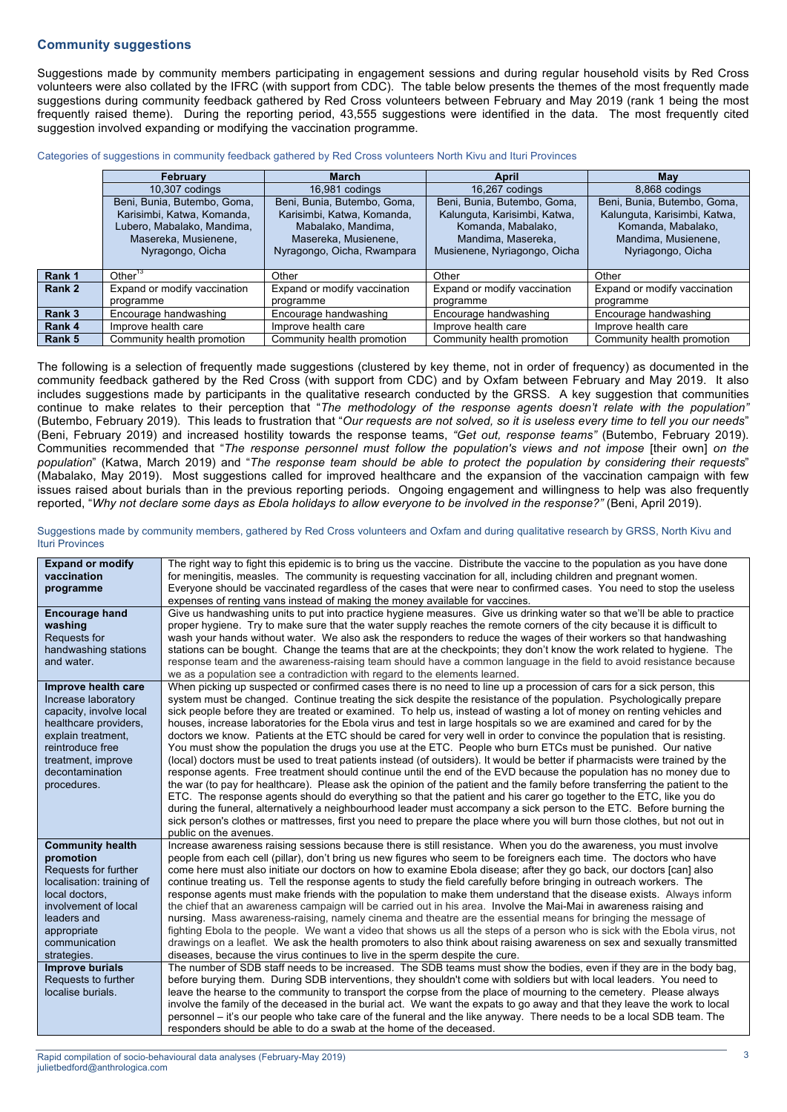### **Community suggestions**

Suggestions made by community members participating in engagement sessions and during regular household visits by Red Cross volunteers were also collated by the IFRC (with support from CDC). The table below presents the themes of the most frequently made suggestions during community feedback gathered by Red Cross volunteers between February and May 2019 (rank 1 being the most frequently raised theme). During the reporting period, 43,555 suggestions were identified in the data. The most frequently cited suggestion involved expanding or modifying the vaccination programme.

Categories of suggestions in community feedback gathered by Red Cross volunteers North Kivu and Ituri Provinces

|        | February                                                                                                                            | <b>March</b>                                                                                                                          | April                                                                                                                                   | Mav                                                                                                                           |  |
|--------|-------------------------------------------------------------------------------------------------------------------------------------|---------------------------------------------------------------------------------------------------------------------------------------|-----------------------------------------------------------------------------------------------------------------------------------------|-------------------------------------------------------------------------------------------------------------------------------|--|
|        | 10,307 codings                                                                                                                      | 16.981 codings                                                                                                                        | 16.267 codings                                                                                                                          | 8.868 codings                                                                                                                 |  |
|        | Beni, Bunia, Butembo, Goma,<br>Karisimbi, Katwa, Komanda,<br>Lubero, Mabalako, Mandima,<br>Masereka, Musienene,<br>Nyragongo, Oicha | Beni, Bunia, Butembo, Goma,<br>Karisimbi, Katwa, Komanda,<br>Mabalako, Mandima,<br>Masereka, Musienene,<br>Nyragongo, Oicha, Rwampara | Beni, Bunia, Butembo, Goma,<br>Kalunguta, Karisimbi, Katwa,<br>Komanda, Mabalako,<br>Mandima, Masereka,<br>Musienene, Nyriagongo, Oicha | Beni, Bunia, Butembo, Goma,<br>Kalunguta, Karisimbi, Katwa,<br>Komanda, Mabalako,<br>Mandima, Musienene,<br>Nyriagongo, Oicha |  |
| Rank 1 | Other $13$                                                                                                                          | Other                                                                                                                                 | Other                                                                                                                                   | Other                                                                                                                         |  |
| Rank 2 | Expand or modify vaccination                                                                                                        | Expand or modify vaccination                                                                                                          | Expand or modify vaccination                                                                                                            | Expand or modify vaccination                                                                                                  |  |
|        | programme                                                                                                                           | programme                                                                                                                             | programme                                                                                                                               | programme                                                                                                                     |  |
| Rank 3 | Encourage handwashing                                                                                                               | Encourage handwashing                                                                                                                 | Encourage handwashing                                                                                                                   | Encourage handwashing                                                                                                         |  |
| Rank 4 | Improve health care                                                                                                                 | Improve health care                                                                                                                   | Improve health care                                                                                                                     | Improve health care                                                                                                           |  |
| Rank 5 | Community health promotion                                                                                                          | Community health promotion                                                                                                            | Community health promotion                                                                                                              | Community health promotion                                                                                                    |  |

The following is a selection of frequently made suggestions (clustered by key theme, not in order of frequency) as documented in the community feedback gathered by the Red Cross (with support from CDC) and by Oxfam between February and May 2019. It also includes suggestions made by participants in the qualitative research conducted by the GRSS. A key suggestion that communities continue to make relates to their perception that "*The methodology of the response agents doesn't relate with the population"* (Butembo, February 2019). This leads to frustration that "*Our requests are not solved, so it is useless every time to tell you our needs*" (Beni, February 2019) and increased hostility towards the response teams, *"Get out, response teams"* (Butembo, February 2019). Communities recommended that "*The response personnel must follow the population's views and not impose* [their own] *on the population*" (Katwa, March 2019) and "*The response team should be able to protect the population by considering their requests*" (Mabalako, May 2019). Most suggestions called for improved healthcare and the expansion of the vaccination campaign with few issues raised about burials than in the previous reporting periods. Ongoing engagement and willingness to help was also frequently reported, "*Why not declare some days as Ebola holidays to allow everyone to be involved in the response?"* (Beni, April 2019).

Suggestions made by community members, gathered by Red Cross volunteers and Oxfam and during qualitative research by GRSS, North Kivu and Ituri Provinces

| <b>Expand or modify</b><br>vaccination                                                                                                                                                            | The right way to fight this epidemic is to bring us the vaccine. Distribute the vaccine to the population as you have done<br>for meningitis, measles. The community is requesting vaccination for all, including children and pregnant women.                                                                                                                                                                                                                                                                                                                                                                                                                                                                                                                                                                                                                                                                                                                                                                                                                                                                                                                                                                                                                                                                                                                                                                                                                                                                                              |
|---------------------------------------------------------------------------------------------------------------------------------------------------------------------------------------------------|---------------------------------------------------------------------------------------------------------------------------------------------------------------------------------------------------------------------------------------------------------------------------------------------------------------------------------------------------------------------------------------------------------------------------------------------------------------------------------------------------------------------------------------------------------------------------------------------------------------------------------------------------------------------------------------------------------------------------------------------------------------------------------------------------------------------------------------------------------------------------------------------------------------------------------------------------------------------------------------------------------------------------------------------------------------------------------------------------------------------------------------------------------------------------------------------------------------------------------------------------------------------------------------------------------------------------------------------------------------------------------------------------------------------------------------------------------------------------------------------------------------------------------------------|
| programme                                                                                                                                                                                         | Everyone should be vaccinated regardless of the cases that were near to confirmed cases. You need to stop the useless<br>expenses of renting vans instead of making the money available for vaccines.                                                                                                                                                                                                                                                                                                                                                                                                                                                                                                                                                                                                                                                                                                                                                                                                                                                                                                                                                                                                                                                                                                                                                                                                                                                                                                                                       |
| <b>Encourage hand</b><br>washing<br>Requests for<br>handwashing stations<br>and water.                                                                                                            | Give us handwashing units to put into practice hygiene measures. Give us drinking water so that we'll be able to practice<br>proper hygiene. Try to make sure that the water supply reaches the remote corners of the city because it is difficult to<br>wash your hands without water. We also ask the responders to reduce the wages of their workers so that handwashing<br>stations can be bought. Change the teams that are at the checkpoints; they don't know the work related to hygiene. The<br>response team and the awareness-raising team should have a common language in the field to avoid resistance because<br>we as a population see a contradiction with regard to the elements learned.                                                                                                                                                                                                                                                                                                                                                                                                                                                                                                                                                                                                                                                                                                                                                                                                                                 |
| Improve health care<br>Increase laboratory<br>capacity, involve local<br>healthcare providers,<br>explain treatment,<br>reintroduce free<br>treatment, improve<br>decontamination<br>procedures.  | When picking up suspected or confirmed cases there is no need to line up a procession of cars for a sick person, this<br>system must be changed. Continue treating the sick despite the resistance of the population. Psychologically prepare<br>sick people before they are treated or examined. To help us, instead of wasting a lot of money on renting vehicles and<br>houses, increase laboratories for the Ebola virus and test in large hospitals so we are examined and cared for by the<br>doctors we know. Patients at the ETC should be cared for very well in order to convince the population that is resisting.<br>You must show the population the drugs you use at the ETC. People who burn ETCs must be punished. Our native<br>(local) doctors must be used to treat patients instead (of outsiders). It would be better if pharmacists were trained by the<br>response agents. Free treatment should continue until the end of the EVD because the population has no money due to<br>the war (to pay for healthcare). Please ask the opinion of the patient and the family before transferring the patient to the<br>ETC. The response agents should do everything so that the patient and his carer go together to the ETC, like you do<br>during the funeral, alternatively a neighbourhood leader must accompany a sick person to the ETC. Before burning the<br>sick person's clothes or mattresses, first you need to prepare the place where you will burn those clothes, but not out in<br>public on the avenues. |
| <b>Community health</b><br>promotion<br>Requests for further<br>localisation: training of<br>local doctors,<br>involvement of local<br>leaders and<br>appropriate<br>communication<br>strategies. | Increase awareness raising sessions because there is still resistance. When you do the awareness, you must involve<br>people from each cell (pillar), don't bring us new figures who seem to be foreigners each time. The doctors who have<br>come here must also initiate our doctors on how to examine Ebola disease; after they go back, our doctors [can] also<br>continue treating us. Tell the response agents to study the field carefully before bringing in outreach workers. The<br>response agents must make friends with the population to make them understand that the disease exists. Always inform<br>the chief that an awareness campaign will be carried out in his area. Involve the Mai-Mai in awareness raising and<br>nursing. Mass awareness-raising, namely cinema and theatre are the essential means for bringing the message of<br>fighting Ebola to the people. We want a video that shows us all the steps of a person who is sick with the Ebola virus, not<br>drawings on a leaflet. We ask the health promoters to also think about raising awareness on sex and sexually transmitted<br>diseases, because the virus continues to live in the sperm despite the cure.                                                                                                                                                                                                                                                                                                                                       |
| <b>Improve burials</b><br>Requests to further<br>localise burials.                                                                                                                                | The number of SDB staff needs to be increased. The SDB teams must show the bodies, even if they are in the body bag,<br>before burying them. During SDB interventions, they shouldn't come with soldiers but with local leaders. You need to<br>leave the hearse to the community to transport the corpse from the place of mourning to the cemetery. Please always<br>involve the family of the deceased in the burial act. We want the expats to go away and that they leave the work to local<br>personnel – it's our people who take care of the funeral and the like anyway. There needs to be a local SDB team. The<br>responders should be able to do a swab at the home of the deceased.                                                                                                                                                                                                                                                                                                                                                                                                                                                                                                                                                                                                                                                                                                                                                                                                                                            |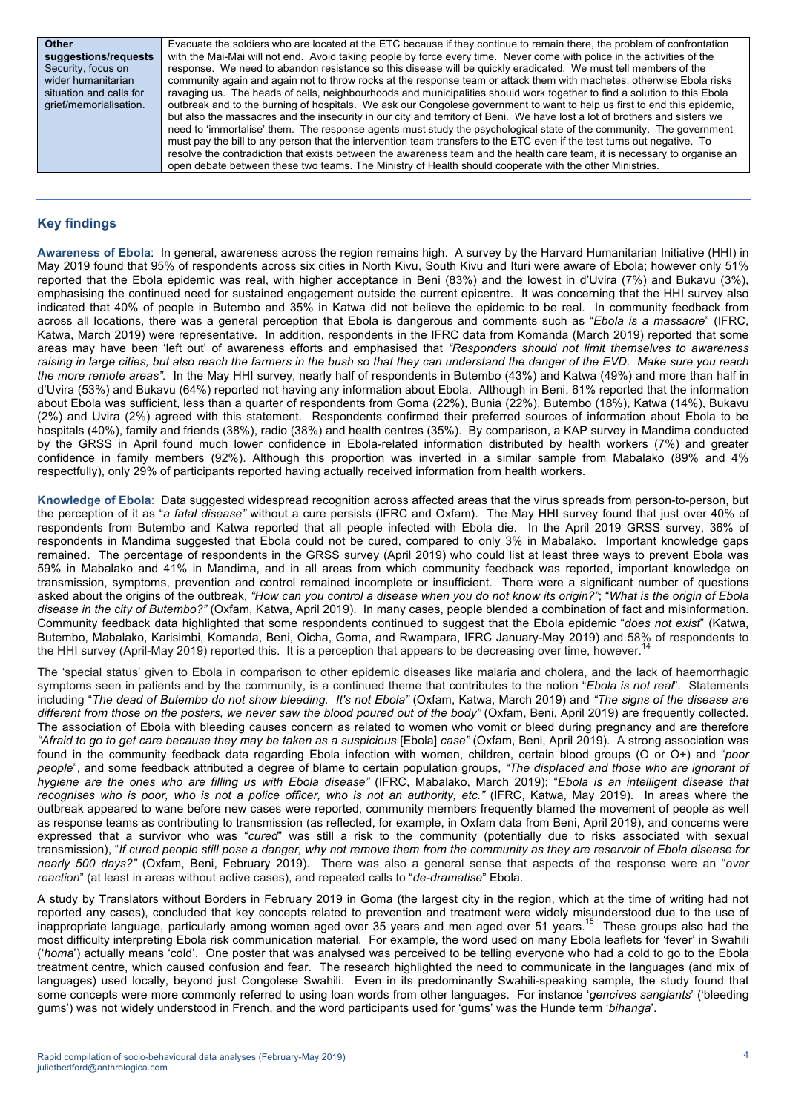| Other                   |
|-------------------------|
| suggestions/requests    |
| Security, focus on      |
| wider humanitarian      |
| situation and calls for |
| grief/memorialisation.  |
|                         |

Evacuate the soldiers who are located at the ETC because if they continue to remain there, the problem of confrontation with the Mai-Mai will not end. Avoid taking people by force every time. Never come with police in the activities of the response. We need to abandon resistance so this disease will be quickly eradicated. We must tell members of the community again and again not to throw rocks at the response team or attack them with machetes, otherwise Ebola risks ravaging us. The heads of cells, neighbourhoods and municipalities should work together to find a solution to this Ebola outbreak and to the burning of hospitals. We ask our Congolese government to want to help us first to end this epidemic, but also the massacres and the insecurity in our city and territory of Beni. We have lost a lot of brothers and sisters we need to 'immortalise' them. The response agents must study the psychological state of the community. The government must pay the bill to any person that the intervention team transfers to the ETC even if the test turns out negative. To resolve the contradiction that exists between the awareness team and the health care team, it is necessary to organise an open debate between these two teams. The Ministry of Health should cooperate with the other Ministries.

## **Key findings**

**Awareness of Ebola**: In general, awareness across the region remains high. A survey by the Harvard Humanitarian Initiative (HHI) in May 2019 found that 95% of respondents across six cities in North Kivu, South Kivu and Ituri were aware of Ebola; however only 51% reported that the Ebola epidemic was real, with higher acceptance in Beni (83%) and the lowest in d'Uvira (7%) and Bukavu (3%), emphasising the continued need for sustained engagement outside the current epicentre. It was concerning that the HHI survey also indicated that 40% of people in Butembo and 35% in Katwa did not believe the epidemic to be real. In community feedback from across all locations, there was a general perception that Ebola is dangerous and comments such as "*Ebola is a massacre*" (IFRC, Katwa, March 2019) were representative. In addition, respondents in the IFRC data from Komanda (March 2019) reported that some areas may have been 'left out' of awareness efforts and emphasised that *"Responders should not limit themselves to awareness*  raising in large cities, but also reach the farmers in the bush so that they can understand the danger of the EVD. Make sure you reach *the more remote areas".* In the May HHI survey, nearly half of respondents in Butembo (43%) and Katwa (49%) and more than half in d'Uvira (53%) and Bukavu (64%) reported not having any information about Ebola. Although in Beni, 61% reported that the information about Ebola was sufficient, less than a quarter of respondents from Goma (22%), Bunia (22%), Butembo (18%), Katwa (14%), Bukavu (2%) and Uvira (2%) agreed with this statement. Respondents confirmed their preferred sources of information about Ebola to be hospitals (40%), family and friends (38%), radio (38%) and health centres (35%). By comparison, a KAP survey in Mandima conducted by the GRSS in April found much lower confidence in Ebola-related information distributed by health workers (7%) and greater confidence in family members (92%). Although this proportion was inverted in a similar sample from Mabalako (89% and 4% respectfully), only 29% of participants reported having actually received information from health workers.

**Knowledge of Ebola**: Data suggested widespread recognition across affected areas that the virus spreads from person-to-person, but the perception of it as "*a fatal disease"* without a cure persists (IFRC and Oxfam). The May HHI survey found that just over 40% of respondents from Butembo and Katwa reported that all people infected with Ebola die. In the April 2019 GRSS survey, 36% of respondents in Mandima suggested that Ebola could not be cured, compared to only 3% in Mabalako. Important knowledge gaps remained. The percentage of respondents in the GRSS survey (April 2019) who could list at least three ways to prevent Ebola was 59% in Mabalako and 41% in Mandima, and in all areas from which community feedback was reported, important knowledge on transmission, symptoms, prevention and control remained incomplete or insufficient. There were a significant number of questions asked about the origins of the outbreak, *"How can you control a disease when you do not know its origin?"*; "*What is the origin of Ebola disease in the city of Butembo?"* (Oxfam, Katwa, April 2019). In many cases, people blended a combination of fact and misinformation. Community feedback data highlighted that some respondents continued to suggest that the Ebola epidemic "*does not exist*" (Katwa, Butembo, Mabalako, Karisimbi, Komanda, Beni, Oicha, Goma, and Rwampara, IFRC January-May 2019) and 58% of respondents to<br>the UUL aurusy (April May 2010) reported this Lit is a persention that appears to be despecies aver t the HHI survey (April-May 2019) reported this. It is a perception that appears to be decreasing over time, however.

The 'special status' given to Ebola in comparison to other epidemic diseases like malaria and cholera, and the lack of haemorrhagic symptoms seen in patients and by the community, is a continued theme that contributes to the notion "*Ebola is not real*". Statements including "*The dead of Butembo do not show bleeding. It's not Ebola"* (Oxfam, Katwa, March 2019) and *"The signs of the disease are different from those on the posters, we never saw the blood poured out of the body"* (Oxfam, Beni, April 2019) are frequently collected. The association of Ebola with bleeding causes concern as related to women who vomit or bleed during pregnancy and are therefore *"Afraid to go to get care because they may be taken as a suspicious* [Ebola] *case"* (Oxfam, Beni, April 2019). A strong association was found in the community feedback data regarding Ebola infection with women, children, certain blood groups (O or O+) and "*poor people*", and some feedback attributed a degree of blame to certain population groups, *"The displaced and those who are ignorant of hygiene are the ones who are filling us with Ebola disease"* (IFRC, Mabalako, March 2019); "*Ebola is an intelligent disease that recognises who is poor, who is not a police officer, who is not an authority, etc."* (IFRC, Katwa, May 2019). In areas where the outbreak appeared to wane before new cases were reported, community members frequently blamed the movement of people as well as response teams as contributing to transmission (as reflected, for example, in Oxfam data from Beni, April 2019), and concerns were expressed that a survivor who was "*cured*" was still a risk to the community (potentially due to risks associated with sexual transmission), "*If cured people still pose a danger, why not remove them from the community as they are reservoir of Ebola disease for nearly 500 days?"* (Oxfam, Beni, February 2019). There was also a general sense that aspects of the response were an "*over reaction*" (at least in areas without active cases), and repeated calls to "*de-dramatise*" Ebola.

A study by Translators without Borders in February 2019 in Goma (the largest city in the region, which at the time of writing had not reported any cases), concluded that key concepts related to prevention and treatment were widely misunderstood due to the use of inappropriate language, particularly among women aged over 35 years and men aged over 51 years.<sup>15</sup> These groups also had the most difficulty interpreting Ebola risk communication material. For example, the word used on many Ebola leaflets for 'fever' in Swahili ('*homa*') actually means 'cold'. One poster that was analysed was perceived to be telling everyone who had a cold to go to the Ebola treatment centre, which caused confusion and fear. The research highlighted the need to communicate in the languages (and mix of languages) used locally, beyond just Congolese Swahili. Even in its predominantly Swahili-speaking sample, the study found that some concepts were more commonly referred to using loan words from other languages. For instance '*gencives sanglants*' ('bleeding gums') was not widely understood in French, and the word participants used for 'gums' was the Hunde term '*bihanga*'.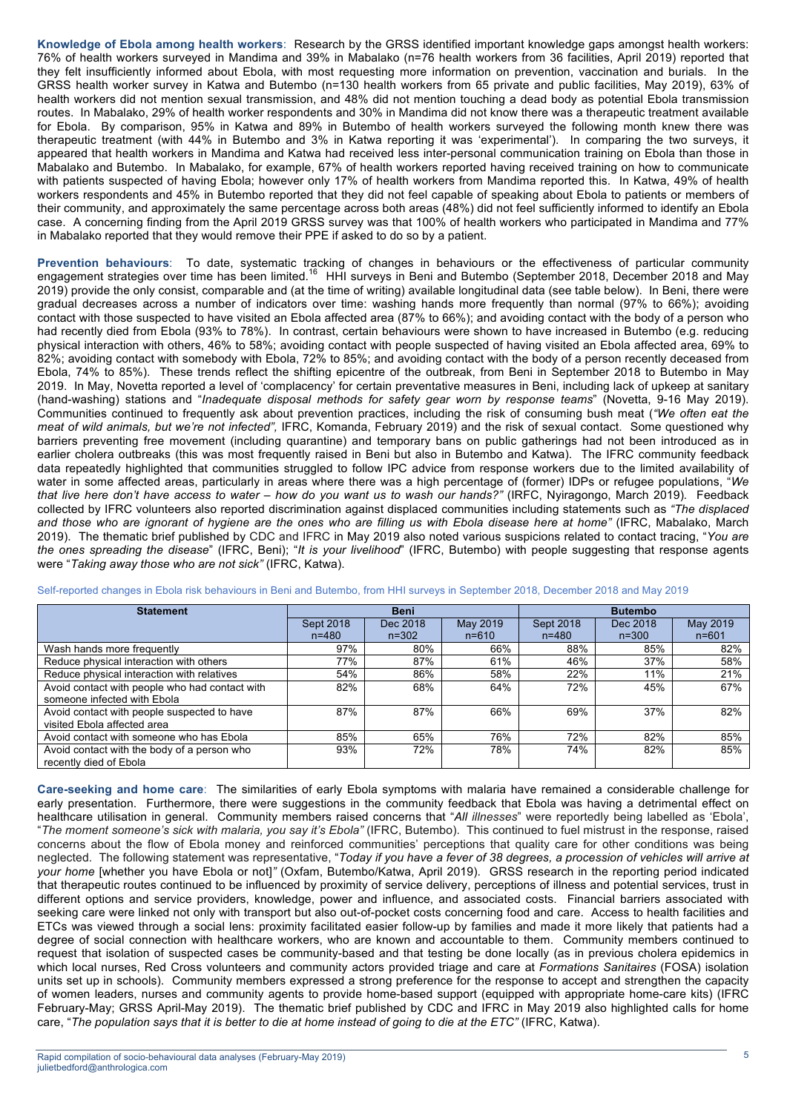**Knowledge of Ebola among health workers**: Research by the GRSS identified important knowledge gaps amongst health workers: 76% of health workers surveyed in Mandima and 39% in Mabalako (n=76 health workers from 36 facilities, April 2019) reported that they felt insufficiently informed about Ebola, with most requesting more information on prevention, vaccination and burials. In the GRSS health worker survey in Katwa and Butembo (n=130 health workers from 65 private and public facilities, May 2019), 63% of health workers did not mention sexual transmission, and 48% did not mention touching a dead body as potential Ebola transmission routes. In Mabalako, 29% of health worker respondents and 30% in Mandima did not know there was a therapeutic treatment available for Ebola. By comparison, 95% in Katwa and 89% in Butembo of health workers surveyed the following month knew there was therapeutic treatment (with 44% in Butembo and 3% in Katwa reporting it was 'experimental'). In comparing the two surveys, it appeared that health workers in Mandima and Katwa had received less inter-personal communication training on Ebola than those in Mabalako and Butembo. In Mabalako, for example, 67% of health workers reported having received training on how to communicate with patients suspected of having Ebola; however only 17% of health workers from Mandima reported this. In Katwa, 49% of health workers respondents and 45% in Butembo reported that they did not feel capable of speaking about Ebola to patients or members of their community, and approximately the same percentage across both areas (48%) did not feel sufficiently informed to identify an Ebola case. A concerning finding from the April 2019 GRSS survey was that 100% of health workers who participated in Mandima and 77% in Mabalako reported that they would remove their PPE if asked to do so by a patient.

**Prevention behaviours**: To date, systematic tracking of changes in behaviours or the effectiveness of particular community engagement strategies over time has been limited.16 HHI surveys in Beni and Butembo (September 2018, December 2018 and May 2019) provide the only consist, comparable and (at the time of writing) available longitudinal data (see table below). In Beni, there were gradual decreases across a number of indicators over time: washing hands more frequently than normal (97% to 66%); avoiding contact with those suspected to have visited an Ebola affected area (87% to 66%); and avoiding contact with the body of a person who had recently died from Ebola (93% to 78%). In contrast, certain behaviours were shown to have increased in Butembo (e.g. reducing physical interaction with others, 46% to 58%; avoiding contact with people suspected of having visited an Ebola affected area, 69% to 82%; avoiding contact with somebody with Ebola, 72% to 85%; and avoiding contact with the body of a person recently deceased from Ebola, 74% to 85%). These trends reflect the shifting epicentre of the outbreak, from Beni in September 2018 to Butembo in May 2019. In May, Novetta reported a level of 'complacency' for certain preventative measures in Beni, including lack of upkeep at sanitary (hand-washing) stations and "*Inadequate disposal methods for safety gear worn by response teams*" (Novetta, 9-16 May 2019). Communities continued to frequently ask about prevention practices, including the risk of consuming bush meat (*"We often eat the meat of wild animals, but we're not infected",* IFRC, Komanda, February 2019) and the risk of sexual contact. Some questioned why barriers preventing free movement (including quarantine) and temporary bans on public gatherings had not been introduced as in earlier cholera outbreaks (this was most frequently raised in Beni but also in Butembo and Katwa). The IFRC community feedback data repeatedly highlighted that communities struggled to follow IPC advice from response workers due to the limited availability of water in some affected areas, particularly in areas where there was a high percentage of (former) IDPs or refugee populations, "*We that live here don't have access to water – how do you want us to wash our hands?"* (IRFC, Nyiragongo, March 2019)*.* Feedback collected by IFRC volunteers also reported discrimination against displaced communities including statements such as *"The displaced and those who are ignorant of hygiene are the ones who are filling us with Ebola disease here at home"* (IFRC, Mabalako, March 2019). The thematic brief published by CDC and IFRC in May 2019 also noted various suspicions related to contact tracing, "*You are the ones spreading the disease*" (IFRC, Beni); "*It is your livelihood*" (IFRC, Butembo) with people suggesting that response agents were "*Taking away those who are not sick"* (IFRC, Katwa).

| <b>Statement</b>                               | <b>Beni</b> |           | <b>Butembo</b> |           |           |           |
|------------------------------------------------|-------------|-----------|----------------|-----------|-----------|-----------|
|                                                | Sept 2018   | Dec 2018  | May 2019       | Sept 2018 | Dec 2018  | May 2019  |
|                                                | $n = 480$   | $n = 302$ | $n = 610$      | $n = 480$ | $n = 300$ | $n = 601$ |
| Wash hands more frequently                     | 97%         | 80%       | 66%            | 88%       | 85%       | 82%       |
| Reduce physical interaction with others        | 77%         | 87%       | 61%            | 46%       | 37%       | 58%       |
| Reduce physical interaction with relatives     | 54%         | 86%       | 58%            | 22%       | 11%       | 21%       |
| Avoid contact with people who had contact with | 82%         | 68%       | 64%            | 72%       | 45%       | 67%       |
| someone infected with Ebola                    |             |           |                |           |           |           |
| Avoid contact with people suspected to have    | 87%         | 87%       | 66%            | 69%       | 37%       | 82%       |
| visited Ebola affected area                    |             |           |                |           |           |           |
| Avoid contact with someone who has Ebola       | 85%         | 65%       | 76%            | 72%       | 82%       | 85%       |
| Avoid contact with the body of a person who    | 93%         | 72%       | 78%            | 74%       | 82%       | 85%       |
| recently died of Ebola                         |             |           |                |           |           |           |

Self-reported changes in Ebola risk behaviours in Beni and Butembo, from HHI surveys in September 2018, December 2018 and May 2019

**Care-seeking and home care**: The similarities of early Ebola symptoms with malaria have remained a considerable challenge for early presentation. Furthermore, there were suggestions in the community feedback that Ebola was having a detrimental effect on healthcare utilisation in general. Community members raised concerns that "*All illnesses*" were reportedly being labelled as 'Ebola', "*The moment someone's sick with malaria, you say it's Ebola"* (IFRC, Butembo). This continued to fuel mistrust in the response, raised concerns about the flow of Ebola money and reinforced communities' perceptions that quality care for other conditions was being neglected. The following statement was representative, "*Today if you have a fever of 38 degrees, a procession of vehicles will arrive at your home* [whether you have Ebola or not]*"* (Oxfam, Butembo/Katwa, April 2019). GRSS research in the reporting period indicated that therapeutic routes continued to be influenced by proximity of service delivery, perceptions of illness and potential services, trust in different options and service providers, knowledge, power and influence, and associated costs. Financial barriers associated with seeking care were linked not only with transport but also out-of-pocket costs concerning food and care. Access to health facilities and ETCs was viewed through a social lens: proximity facilitated easier follow-up by families and made it more likely that patients had a degree of social connection with healthcare workers, who are known and accountable to them. Community members continued to request that isolation of suspected cases be community-based and that testing be done locally (as in previous cholera epidemics in which local nurses, Red Cross volunteers and community actors provided triage and care at *Formations Sanitaires* (FOSA) isolation units set up in schools). Community members expressed a strong preference for the response to accept and strengthen the capacity of women leaders, nurses and community agents to provide home-based support (equipped with appropriate home-care kits) (IFRC February-May; GRSS April-May 2019). The thematic brief published by CDC and IFRC in May 2019 also highlighted calls for home care, "*The population says that it is better to die at home instead of going to die at the ETC"* (IFRC, Katwa).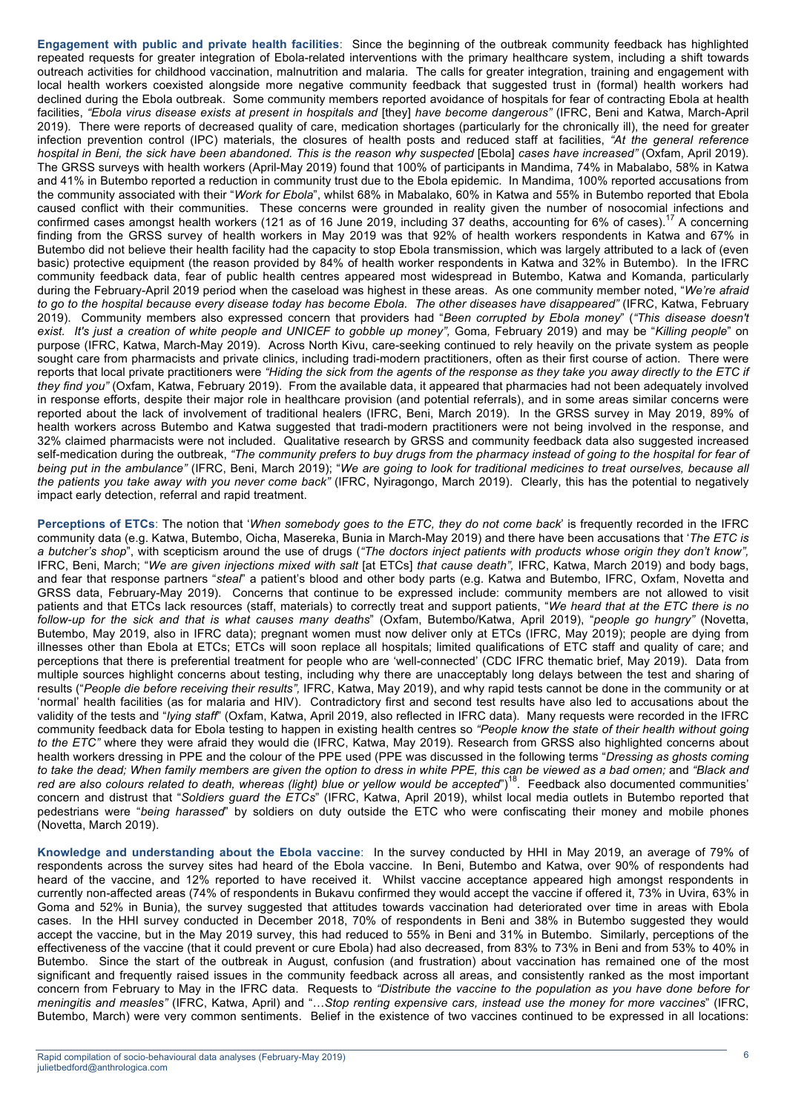**Engagement with public and private health facilities**: Since the beginning of the outbreak community feedback has highlighted repeated requests for greater integration of Ebola-related interventions with the primary healthcare system, including a shift towards outreach activities for childhood vaccination, malnutrition and malaria. The calls for greater integration, training and engagement with local health workers coexisted alongside more negative community feedback that suggested trust in (formal) health workers had declined during the Ebola outbreak. Some community members reported avoidance of hospitals for fear of contracting Ebola at health facilities, *"Ebola virus disease exists at present in hospitals and* [they] *have become dangerous"* (IFRC, Beni and Katwa, March-April 2019). There were reports of decreased quality of care, medication shortages (particularly for the chronically ill), the need for greater infection prevention control (IPC) materials, the closures of health posts and reduced staff at facilities, *"At the general reference hospital in Beni, the sick have been abandoned. This is the reason why suspected* [Ebola] *cases have increased"* (Oxfam, April 2019). The GRSS surveys with health workers (April-May 2019) found that 100% of participants in Mandima, 74% in Mabalabo, 58% in Katwa and 41% in Butembo reported a reduction in community trust due to the Ebola epidemic. In Mandima, 100% reported accusations from the community associated with their "*Work for Ebola*", whilst 68% in Mabalako, 60% in Katwa and 55% in Butembo reported that Ebola caused conflict with their communities. These concerns were grounded in reality given the number of nosocomial infections and caused conflict with their communities. These concerns were grounded in reality given the number confirmed cases amongst health workers (121 as of 16 June 2019, including 37 deaths, accounting for  $6\%$  of cases).<sup>17</sup> A concerning finding from the GRSS survey of health workers in May 2019 was that 92% of health workers respondents in Katwa and 67% in Butembo did not believe their health facility had the capacity to stop Ebola transmission, which was largely attributed to a lack of (even basic) protective equipment (the reason provided by 84% of health worker respondents in Katwa and 32% in Butembo). In the IFRC community feedback data, fear of public health centres appeared most widespread in Butembo, Katwa and Komanda, particularly during the February-April 2019 period when the caseload was highest in these areas. As one community member noted, "*We're afraid to go to the hospital because every disease today has become Ebola. The other diseases have disappeared"* (IFRC, Katwa, February 2019). Community members also expressed concern that providers had "*Been corrupted by Ebola money*" (*"This disease doesn't exist. It's just a creation of white people and UNICEF to gobble up money",* Goma*,* February 2019) and may be "*Killing people*" on purpose (IFRC, Katwa, March-May 2019). Across North Kivu, care-seeking continued to rely heavily on the private system as people sought care from pharmacists and private clinics, including tradi-modern practitioners, often as their first course of action. There were reports that local private practitioners were *"Hiding the sick from the agents of the response as they take you away directly to the ETC if they find you"* (Oxfam, Katwa, February 2019). From the available data, it appeared that pharmacies had not been adequately involved in response efforts, despite their major role in healthcare provision (and potential referrals), and in some areas similar concerns were reported about the lack of involvement of traditional healers (IFRC, Beni, March 2019). In the GRSS survey in May 2019, 89% of health workers across Butembo and Katwa suggested that tradi-modern practitioners were not being involved in the response, and 32% claimed pharmacists were not included. Qualitative research by GRSS and community feedback data also suggested increased self-medication during the outbreak, *"The community prefers to buy drugs from the pharmacy instead of going to the hospital for fear of being put in the ambulance"* (IFRC, Beni, March 2019); "*We are going to look for traditional medicines to treat ourselves, because all the patients you take away with you never come back"* (IFRC, Nyiragongo, March 2019). Clearly, this has the potential to negatively impact early detection, referral and rapid treatment.

**Perceptions of ETCs**: The notion that '*When somebody goes to the ETC, they do not come back*' is frequently recorded in the IFRC community data (e.g. Katwa, Butembo, Oicha, Masereka, Bunia in March-May 2019) and there have been accusations that '*The ETC is a butcher's shop*", with scepticism around the use of drugs (*"The doctors inject patients with products whose origin they don't know",*  IFRC, Beni, March; "*We are given injections mixed with salt* [at ETCs] *that cause death",* IFRC, Katwa, March 2019) and body bags, and fear that response partners "*steal*" a patient's blood and other body parts (e.g. Katwa and Butembo, IFRC, Oxfam, Novetta and GRSS data, February-May 2019). Concerns that continue to be expressed include: community members are not allowed to visit patients and that ETCs lack resources (staff, materials) to correctly treat and support patients, "*We heard that at the ETC there is no follow-up for the sick and that is what causes many deaths*" (Oxfam, Butembo/Katwa, April 2019), "*people go hungry"* (Novetta, Butembo, May 2019, also in IFRC data); pregnant women must now deliver only at ETCs (IFRC, May 2019); people are dying from illnesses other than Ebola at ETCs; ETCs will soon replace all hospitals; limited qualifications of ETC staff and quality of care; and perceptions that there is preferential treatment for people who are 'well-connected' (CDC IFRC thematic brief, May 2019). Data from multiple sources highlight concerns about testing, including why there are unacceptably long delays between the test and sharing of results ("*People die before receiving their results",* IFRC, Katwa, May 2019), and why rapid tests cannot be done in the community or at 'normal' health facilities (as for malaria and HIV). Contradictory first and second test results have also led to accusations about the validity of the tests and "*lying staff*" (Oxfam, Katwa, April 2019, also reflected in IFRC data). Many requests were recorded in the IFRC community feedback data for Ebola testing to happen in existing health centres so *"People know the state of their health without going to the ETC"* where they were afraid they would die (IFRC, Katwa, May 2019). Research from GRSS also highlighted concerns about health workers dressing in PPE and the colour of the PPE used (PPE was discussed in the following terms "*Dressing as ghosts coming to take the dead; When family members are given the option to dress in white PPE, this can be viewed as a bad omen;* and *"Black and*  red are also colours related to death, whereas (light) blue or yellow would be accepted")<sup>18</sup>. Feedback also documented communities' concern and distrust that "*Soldiers guard the ETCs*" (IFRC, Katwa, April 2019), whilst local media outlets in Butembo reported that pedestrians were "*being harassed*" by soldiers on duty outside the ETC who were confiscating their money and mobile phones (Novetta, March 2019).

**Knowledge and understanding about the Ebola vaccine**: In the survey conducted by HHI in May 2019, an average of 79% of respondents across the survey sites had heard of the Ebola vaccine. In Beni, Butembo and Katwa, over 90% of respondents had heard of the vaccine, and 12% reported to have received it. Whilst vaccine acceptance appeared high amongst respondents in currently non-affected areas (74% of respondents in Bukavu confirmed they would accept the vaccine if offered it, 73% in Uvira, 63% in Goma and 52% in Bunia), the survey suggested that attitudes towards vaccination had deteriorated over time in areas with Ebola cases. In the HHI survey conducted in December 2018, 70% of respondents in Beni and 38% in Butembo suggested they would accept the vaccine, but in the May 2019 survey, this had reduced to 55% in Beni and 31% in Butembo. Similarly, perceptions of the effectiveness of the vaccine (that it could prevent or cure Ebola) had also decreased, from 83% to 73% in Beni and from 53% to 40% in Butembo. Since the start of the outbreak in August, confusion (and frustration) about vaccination has remained one of the most significant and frequently raised issues in the community feedback across all areas, and consistently ranked as the most important concern from February to May in the IFRC data. Requests to *"Distribute the vaccine to the population as you have done before for meningitis and measles"* (IFRC, Katwa, April) and "…*Stop renting expensive cars, instead use the money for more vaccines*" (IFRC, Butembo, March) were very common sentiments. Belief in the existence of two vaccines continued to be expressed in all locations: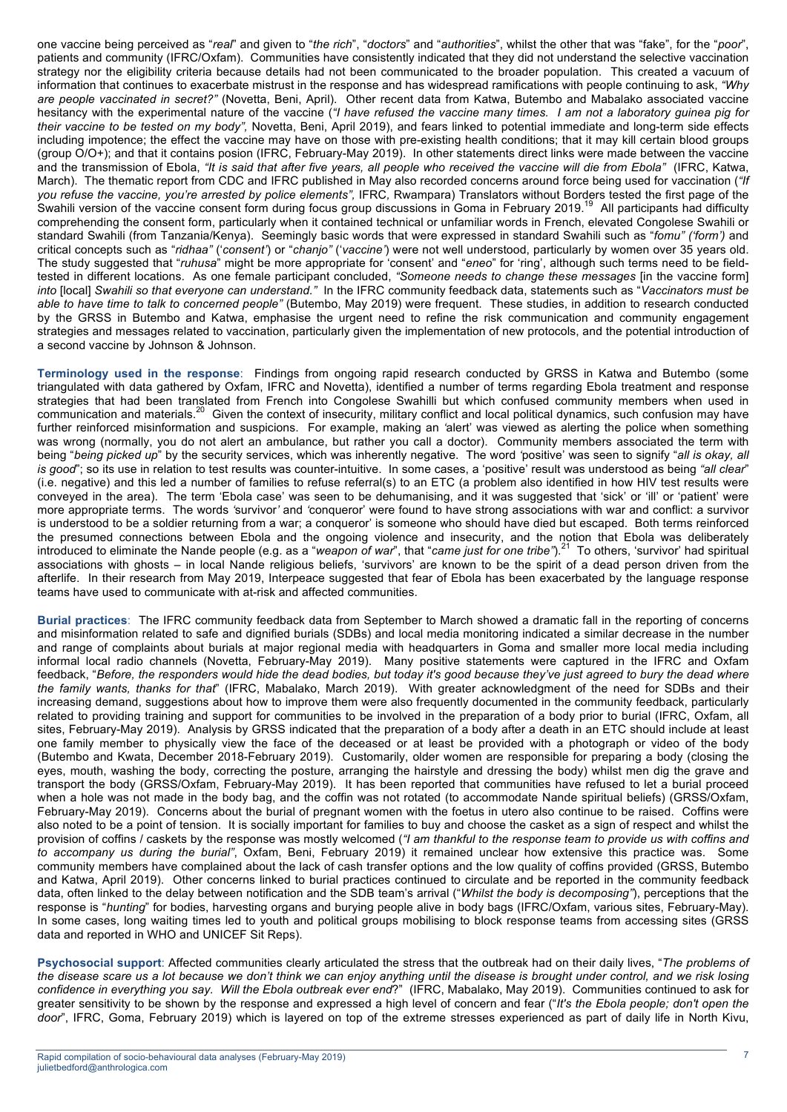one vaccine being perceived as "*real*" and given to "*the rich*", "*doctors*" and "*authorities*", whilst the other that was "fake", for the "*poor*", patients and community (IFRC/Oxfam). Communities have consistently indicated that they did not understand the selective vaccination strategy nor the eligibility criteria because details had not been communicated to the broader population. This created a vacuum of information that continues to exacerbate mistrust in the response and has widespread ramifications with people continuing to ask, *"Why are people vaccinated in secret?"* (Novetta, Beni, April). Other recent data from Katwa, Butembo and Mabalako associated vaccine hesitancy with the experimental nature of the vaccine (*"I have refused the vaccine many times. I am not a laboratory guinea pig for their vaccine to be tested on my body",* Novetta, Beni, April 2019), and fears linked to potential immediate and long-term side effects including impotence; the effect the vaccine may have on those with pre-existing health conditions; that it may kill certain blood groups (group O/O+); and that it contains posion (IFRC, February-May 2019). In other statements direct links were made between the vaccine and the transmission of Ebola, *"It is said that after five years, all people who received the vaccine will die from Ebola"* (IFRC, Katwa, March). The thematic report from CDC and IFRC published in May also recorded concerns around force being used for vaccination (*"If you refuse the vaccine, you're arrested by police elements",* IFRC*,* Rwampara) Translators without Borders tested the first page of the Swahili version of the vaccine consent form during focus group discussions in Goma in February 2019.<sup>19</sup> All participants had difficulty comprehending the consent form, particularly when it contained technical or unfamiliar words in French, elevated Congolese Swahili or standard Swahili (from Tanzania/Kenya). Seemingly basic words that were expressed in standard Swahili such as "*fomu" ('form')* and critical concepts such as "*ridhaa"* ('*consent'*) or "*chanjo"* ('*vaccine'*) were not well understood, particularly by women over 35 years old. The study suggested that "*ruhusa*" might be more appropriate for 'consent' and "*eneo*" for 'ring', although such terms need to be fieldtested in different locations. As one female participant concluded, *"Someone needs to change these messages* [in the vaccine form] *into* [local] *Swahili so that everyone can understand."* In the IFRC community feedback data, statements such as "*Vaccinators must be able to have time to talk to concerned people"* (Butembo, May 2019) were frequent. These studies, in addition to research conducted by the GRSS in Butembo and Katwa, emphasise the urgent need to refine the risk communication and community engagement strategies and messages related to vaccination, particularly given the implementation of new protocols, and the potential introduction of a second vaccine by Johnson & Johnson.

**Terminology used in the response**: Findings from ongoing rapid research conducted by GRSS in Katwa and Butembo (some triangulated with data gathered by Oxfam, IFRC and Novetta), identified a number of terms regarding Ebola treatment and response strategies that had been translated from French into Congolese Swahilli but which confused community members when used in communication and materials.<sup>20</sup> Given the context of insecurity, military conflict and local political dynamics, such confusion may have further reinforced misinformation and suspicions. For example, making an *'*alert' was viewed as alerting the police when something was wrong (normally, you do not alert an ambulance, but rather you call a doctor). Community members associated the term with being "*being picked up*" by the security services, which was inherently negative. The word *'*positive' was seen to signify "*all is okay, all is good*"; so its use in relation to test results was counter-intuitive. In some cases, a 'positive' result was understood as being *"all clear*" (i.e. negative) and this led a number of families to refuse referral(s) to an ETC (a problem also identified in how HIV test results were conveyed in the area). The term 'Ebola case' was seen to be dehumanising, and it was suggested that 'sick' or 'ill' or 'patient' were more appropriate terms. The words *'*survivor*'* and *'*conqueror' were found to have strong associations with war and conflict: a survivor is understood to be a soldier returning from a war; a conqueror' is someone who should have died but escaped. Both terms reinforced the presumed connections between Ebola and the ongoing violence and insecurity, and the notion that Ebola was deliberately introduced to eliminate the Nande people (e.g. as a "*weapon of war*", that "*came just for one tribe"*). <sup>21</sup> To others, 'survivor' had spiritual associations with ghosts – in local Nande religious beliefs, 'survivors' are known to be the spirit of a dead person driven from the afterlife. In their research from May 2019, Interpeace suggested that fear of Ebola has been exacerbated by the language response teams have used to communicate with at-risk and affected communities.

**Burial practices**: The IFRC community feedback data from September to March showed a dramatic fall in the reporting of concerns and misinformation related to safe and dignified burials (SDBs) and local media monitoring indicated a similar decrease in the number and range of complaints about burials at major regional media with headquarters in Goma and smaller more local media including informal local radio channels (Novetta, February-May 2019). Many positive statements were captured in the IFRC and Oxfam feedback, "*Before, the responders would hide the dead bodies, but today it's good because they've just agreed to bury the dead where the family wants, thanks for that*" (IFRC, Mabalako, March 2019). With greater acknowledgment of the need for SDBs and their increasing demand, suggestions about how to improve them were also frequently documented in the community feedback, particularly related to providing training and support for communities to be involved in the preparation of a body prior to burial (IFRC, Oxfam, all sites, February-May 2019). Analysis by GRSS indicated that the preparation of a body after a death in an ETC should include at least one family member to physically view the face of the deceased or at least be provided with a photograph or video of the body (Butembo and Kwata, December 2018-February 2019). Customarily, older women are responsible for preparing a body (closing the eyes, mouth, washing the body, correcting the posture, arranging the hairstyle and dressing the body) whilst men dig the grave and transport the body (GRSS/Oxfam, February-May 2019). It has been reported that communities have refused to let a burial proceed when a hole was not made in the body bag, and the coffin was not rotated (to accommodate Nande spiritual beliefs) (GRSS/Oxfam, February-May 2019). Concerns about the burial of pregnant women with the foetus in utero also continue to be raised. Coffins were also noted to be a point of tension. It is socially important for families to buy and choose the casket as a sign of respect and whilst the provision of coffins / caskets by the response was mostly welcomed (*"I am thankful to the response team to provide us with coffins and to accompany us during the burial"*, Oxfam, Beni, February 2019) it remained unclear how extensive this practice was. Some community members have complained about the lack of cash transfer options and the low quality of coffins provided (GRSS, Butembo and Katwa, April 2019). Other concerns linked to burial practices continued to circulate and be reported in the community feedback data, often linked to the delay between notification and the SDB team's arrival ("*Whilst the body is decomposing"*), perceptions that the response is "*hunting*" for bodies, harvesting organs and burying people alive in body bags (IFRC/Oxfam, various sites, February-May). In some cases, long waiting times led to youth and political groups mobilising to block response teams from accessing sites (GRSS data and reported in WHO and UNICEF Sit Reps).

**Psychosocial support**: Affected communities clearly articulated the stress that the outbreak had on their daily lives, "*The problems of the disease scare us a lot because we don't think we can enjoy anything until the disease is brought under control, and we risk losing confidence in everything you say. Will the Ebola outbreak ever end*?" (IFRC, Mabalako, May 2019). Communities continued to ask for greater sensitivity to be shown by the response and expressed a high level of concern and fear ("*It's the Ebola people; don't open the door*", IFRC, Goma, February 2019) which is layered on top of the extreme stresses experienced as part of daily life in North Kivu,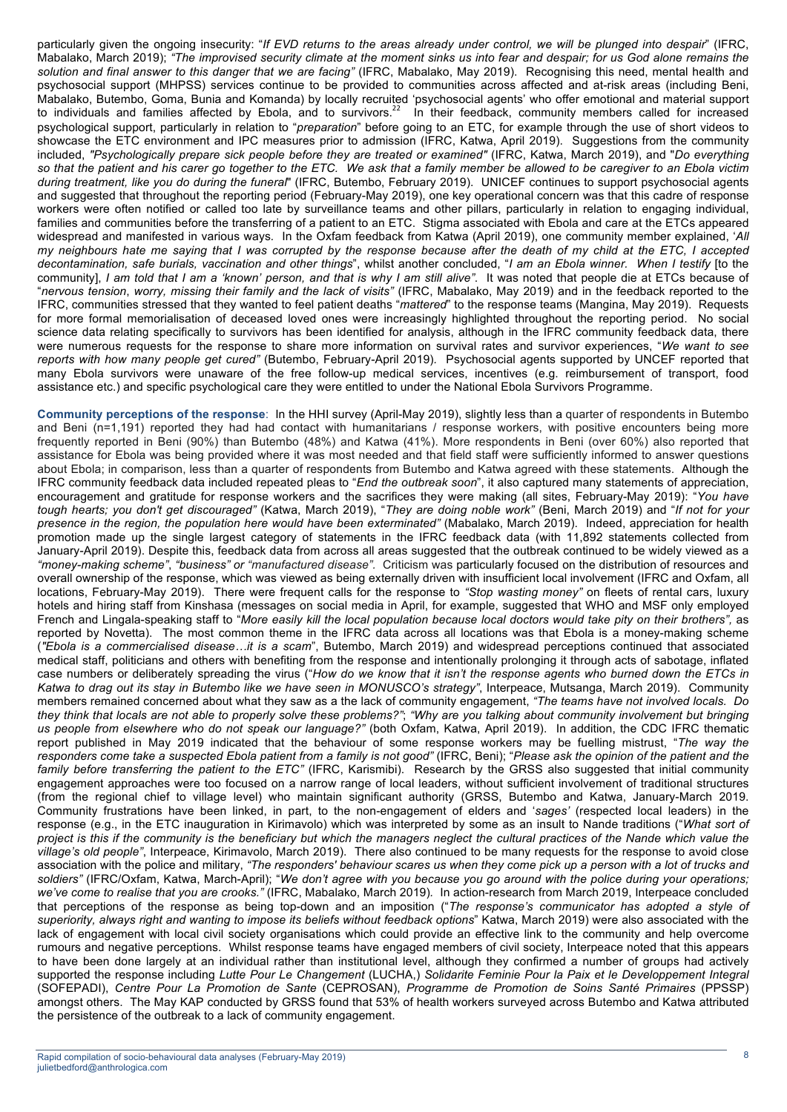particularly given the ongoing insecurity: "*If EVD returns to the areas already under control, we will be plunged into despair*" (IFRC, Mabalako, March 2019); *"The improvised security climate at the moment sinks us into fear and despair; for us God alone remains the solution and final answer to this danger that we are facing"* (IFRC, Mabalako, May 2019). Recognising this need, mental health and psychosocial support (MHPSS) services continue to be provided to communities across affected and at-risk areas (including Beni, Mabalako, Butembo, Goma, Bunia and Komanda) by locally recruited 'psychosocial agents' who offer emotional and material support to individuals and families affected by Ebola, and to survivors.<sup>22</sup> In their feedback, community members called for increased psychological support, particularly in relation to "*preparation*" before going to an ETC, for example through the use of short videos to showcase the ETC environment and IPC measures prior to admission (IFRC, Katwa, April 2019). Suggestions from the community included, *"Psychologically prepare sick people before they are treated or examined"* (IFRC, Katwa, March 2019), and "*Do everything so that the patient and his carer go together to the ETC. We ask that a family member be allowed to be caregiver to an Ebola victim during treatment, like you do during the funeral*" (IFRC, Butembo, February 2019). UNICEF continues to support psychosocial agents and suggested that throughout the reporting period (February-May 2019), one key operational concern was that this cadre of response workers were often notified or called too late by surveillance teams and other pillars, particularly in relation to engaging individual, families and communities before the transferring of a patient to an ETC. Stigma associated with Ebola and care at the ETCs appeared widespread and manifested in various ways*.* In the Oxfam feedback from Katwa (April 2019), one community member explained, '*All my neighbours hate me saying that I was corrupted by the response because after the death of my child at the ETC, I accepted decontamination, safe burials, vaccination and other things*", whilst another concluded, "*I am an Ebola winner. When I testify* [to the community], *I am told that I am a 'known' person, and that is why I am still alive"*. It was noted that people die at ETCs because of "*nervous tension*, *worry, missing their family and the lack of visits"* (IFRC, Mabalako, May 2019) and in the feedback reported to the IFRC, communities stressed that they wanted to feel patient deaths "*mattered*" to the response teams (Mangina, May 2019). Requests for more formal memorialisation of deceased loved ones were increasingly highlighted throughout the reporting period. No social science data relating specifically to survivors has been identified for analysis, although in the IFRC community feedback data, there were numerous requests for the response to share more information on survival rates and survivor experiences, "*We want to see reports with how many people get cured"* (Butembo, February-April 2019)*.* Psychosocial agents supported by UNCEF reported that many Ebola survivors were unaware of the free follow-up medical services, incentives (e.g. reimbursement of transport, food assistance etc.) and specific psychological care they were entitled to under the National Ebola Survivors Programme.

**Community perceptions of the response**: In the HHI survey (April-May 2019), slightly less than a quarter of respondents in Butembo and Beni (n=1,191) reported they had had contact with humanitarians / response workers, with positive encounters being more frequently reported in Beni (90%) than Butembo (48%) and Katwa (41%). More respondents in Beni (over 60%) also reported that assistance for Ebola was being provided where it was most needed and that field staff were sufficiently informed to answer questions about Ebola; in comparison, less than a quarter of respondents from Butembo and Katwa agreed with these statements. Although the IFRC community feedback data included repeated pleas to "*End the outbreak soon*", it also captured many statements of appreciation, encouragement and gratitude for response workers and the sacrifices they were making (all sites, February-May 2019): "*You have tough hearts; you don't get discouraged"* (Katwa, March 2019), "*They are doing noble work"* (Beni, March 2019) and "*If not for your presence in the region, the population here would have been exterminated"* (Mabalako, March 2019). Indeed, appreciation for health promotion made up the single largest category of statements in the IFRC feedback data (with 11,892 statements collected from January-April 2019). Despite this, feedback data from across all areas suggested that the outbreak continued to be widely viewed as a *"money-making scheme"*, *"business" or "manufactured disease".* Criticism was particularly focused on the distribution of resources and overall ownership of the response, which was viewed as being externally driven with insufficient local involvement (IFRC and Oxfam, all locations, February-May 2019). There were frequent calls for the response to *"Stop wasting money"* on fleets of rental cars, luxury hotels and hiring staff from Kinshasa (messages on social media in April, for example, suggested that WHO and MSF only employed French and Lingala-speaking staff to "*More easily kill the local population because local doctors would take pity on their brothers",* as reported by Novetta). The most common theme in the IFRC data across all locations was that Ebola is a money-making scheme (*"Ebola is a commercialised disease…it is a scam*", Butembo, March 2019) and widespread perceptions continued that associated medical staff, politicians and others with benefiting from the response and intentionally prolonging it through acts of sabotage, inflated case numbers or deliberately spreading the virus ("*How do we know that it isn't the response agents who burned down the ETCs in Katwa to drag out its stay in Butembo like we have seen in MONUSCO's strategy"*, Interpeace, Mutsanga, March 2019). Community members remained concerned about what they saw as a the lack of community engagement, *"The teams have not involved locals. Do they think that locals are not able to properly solve these problems?"*; *"Why are you talking about community involvement but bringing us people from elsewhere who do not speak our language?"* (both Oxfam, Katwa, April 2019). In addition, the CDC IFRC thematic report published in May 2019 indicated that the behaviour of some response workers may be fuelling mistrust, "*The way the responders come take a suspected Ebola patient from a family is not good"* (IFRC, Beni); "*Please ask the opinion of the patient and the family before transferring the patient to the ETC"* (IFRC, Karismibi). Research by the GRSS also suggested that initial community engagement approaches were too focused on a narrow range of local leaders, without sufficient involvement of traditional structures (from the regional chief to village level) who maintain significant authority (GRSS, Butembo and Katwa, January-March 2019. Community frustrations have been linked, in part, to the non-engagement of elders and '*sages'* (respected local leaders) in the response (e.g., in the ETC inauguration in Kirimavolo) which was interpreted by some as an insult to Nande traditions ("*What sort of project is this if the community is the beneficiary but which the managers neglect the cultural practices of the Nande which value the village's old people"*, Interpeace, Kirimavolo, March 2019). There also continued to be many requests for the response to avoid close association with the police and military, *"The responders' behaviour scares us when they come pick up a person with a lot of trucks and soldiers"* (IFRC/Oxfam, Katwa, March-April); "*We don't agree with you because you go around with the police during your operations; we've come to realise that you are crooks."* (IFRC, Mabalako, March 2019)*.* In action-research from March 2019, Interpeace concluded that perceptions of the response as being top-down and an imposition ("*The response's communicator has adopted a style of superiority, always right and wanting to impose its beliefs without feedback options*" Katwa, March 2019) were also associated with the lack of engagement with local civil society organisations which could provide an effective link to the community and help overcome rumours and negative perceptions. Whilst response teams have engaged members of civil society, Interpeace noted that this appears to have been done largely at an individual rather than institutional level, although they confirmed a number of groups had actively supported the response including *Lutte Pour Le Changement* (LUCHA,) *Solidarite Feminie Pour la Paix et le Developpement Integral*  (SOFEPADI), *Centre Pour La Promotion de Sante* (CEPROSAN), *Programme de Promotion de Soins Santé Primaires* (PPSSP) amongst others. The May KAP conducted by GRSS found that 53% of health workers surveyed across Butembo and Katwa attributed the persistence of the outbreak to a lack of community engagement.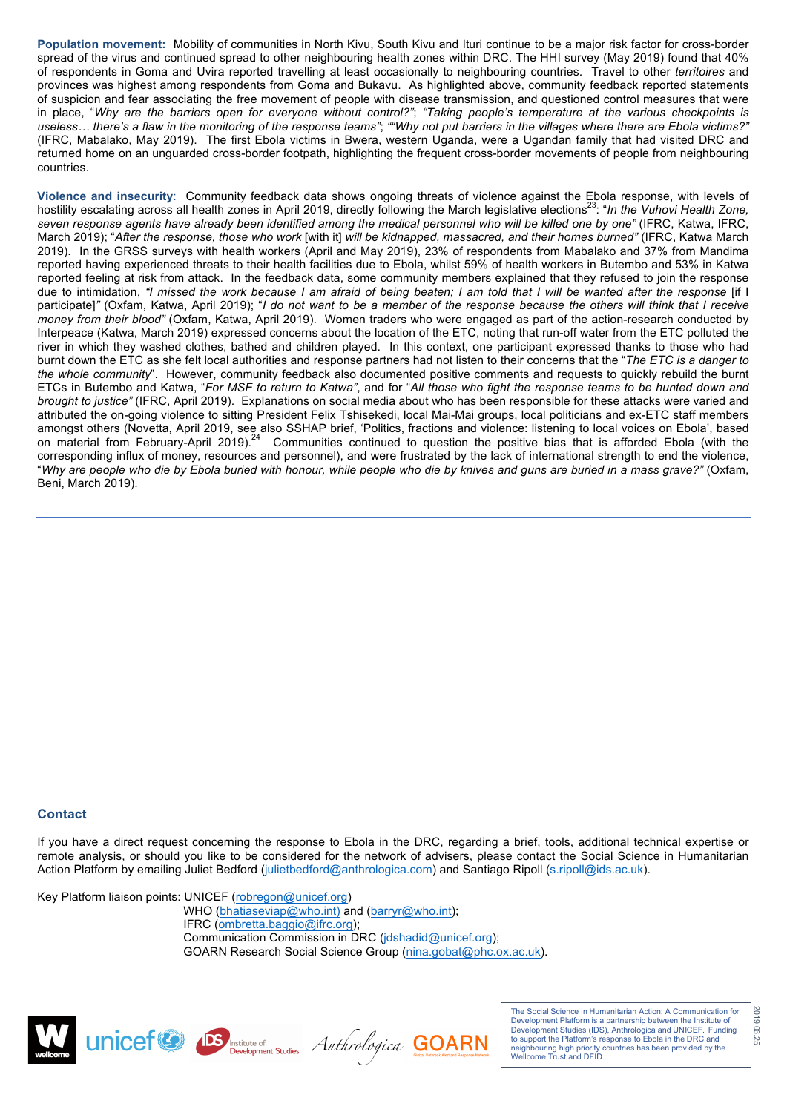**Population movement:** Mobility of communities in North Kivu, South Kivu and Ituri continue to be a major risk factor for cross-border spread of the virus and continued spread to other neighbouring health zones within DRC. The HHI survey (May 2019) found that 40% of respondents in Goma and Uvira reported travelling at least occasionally to neighbouring countries. Travel to other *territoires* and provinces was highest among respondents from Goma and Bukavu. As highlighted above, community feedback reported statements of suspicion and fear associating the free movement of people with disease transmission, and questioned control measures that were in place, "*Why are the barriers open for everyone without control?"*; *"Taking people's temperature at the various checkpoints is useless… there's a flaw in the monitoring of the response teams"*; *""Why not put barriers in the villages where there are Ebola victims?"* (IFRC, Mabalako, May 2019). The first Ebola victims in Bwera, western Uganda, were a Ugandan family that had visited DRC and returned home on an unguarded cross-border footpath, highlighting the frequent cross-border movements of people from neighbouring countries.

**Violence and insecurity**: Community feedback data shows ongoing threats of violence against the Ebola response, with levels of hostility escalating across all health zones in April 2019, directly following the March legislative elections<sup>23</sup>: "In the Vuhovi Health Zone, *seven response agents have already been identified among the medical personnel who will be killed one by one"* (IFRC, Katwa, IFRC, March 2019); "*After the response, those who work* [with it] *will be kidnapped, massacred, and their homes burned"* (IFRC, Katwa March 2019). In the GRSS surveys with health workers (April and May 2019), 23% of respondents from Mabalako and 37% from Mandima reported having experienced threats to their health facilities due to Ebola, whilst 59% of health workers in Butembo and 53% in Katwa reported feeling at risk from attack. In the feedback data, some community members explained that they refused to join the response due to intimidation, *"I missed the work because I am afraid of being beaten; I am told that I will be wanted after the response* [if I participate]*"* (Oxfam, Katwa, April 2019); "*I do not want to be a member of the response because the others will think that I receive money from their blood"* (Oxfam, Katwa, April 2019). Women traders who were engaged as part of the action-research conducted by Interpeace (Katwa, March 2019) expressed concerns about the location of the ETC, noting that run-off water from the ETC polluted the river in which they washed clothes, bathed and children played. In this context, one participant expressed thanks to those who had burnt down the ETC as she felt local authorities and response partners had not listen to their concerns that the "*The ETC is a danger to the whole community*". However, community feedback also documented positive comments and requests to quickly rebuild the burnt ETCs in Butembo and Katwa, "*For MSF to return to Katwa"*, and for "*All those who fight the response teams to be hunted down and brought to justice"* (IFRC, April 2019). Explanations on social media about who has been responsible for these attacks were varied and attributed the on-going violence to sitting President Felix Tshisekedi, local Mai-Mai groups, local politicians and ex-ETC staff members amongst others (Novetta, April 2019, see also SSHAP brief, 'Politics, fractions and violence: listening to local voices on Ebola', based on material from February-April 2019).<sup>24</sup> Communities continued to question the positive bias that is afforded Ebola (with the corresponding influx of money, resources and personnel), and were frustrated by the lack of international strength to end the violence, "*Why are people who die by Ebola buried with honour, while people who die by knives and guns are buried in a mass grave?"* (Oxfam, Beni, March 2019).

#### **Contact**

If you have a direct request concerning the response to Ebola in the DRC, regarding a brief, tools, additional technical expertise or remote analysis, or should you like to be considered for the network of advisers, please contact the Social Science in Humanitarian Action Platform by emailing Juliet Bedford (julietbedford@anthrologica.com) and Santiago Ripoll (s.ripoll@ids.ac.uk).

Key Platform liaison points: UNICEF (robregon@unicef.org) WHO (bhatiaseviap@who.int) and (barryr@who.int); IFRC (ombretta.baggio@ifrc.org); Communication Commission in DRC (idshadid@unicef.org); GOARN Research Social Science Group (nina.gobat@phc.ox.ac.uk).



UNICEF COMPIS INSTRUCTION Anthrologica GOARN

The Social Science in Humanitarian Action: A Communication for Development Platform is a partnership between the Institute of Development Studies (IDS), Anthrologica and UNICEF. Funding to support the Platform's response to Ebola in the DRC and neighbouring high priority countries has been provided by the Wellcome Trust and DFID.

2019.06.2519.06.25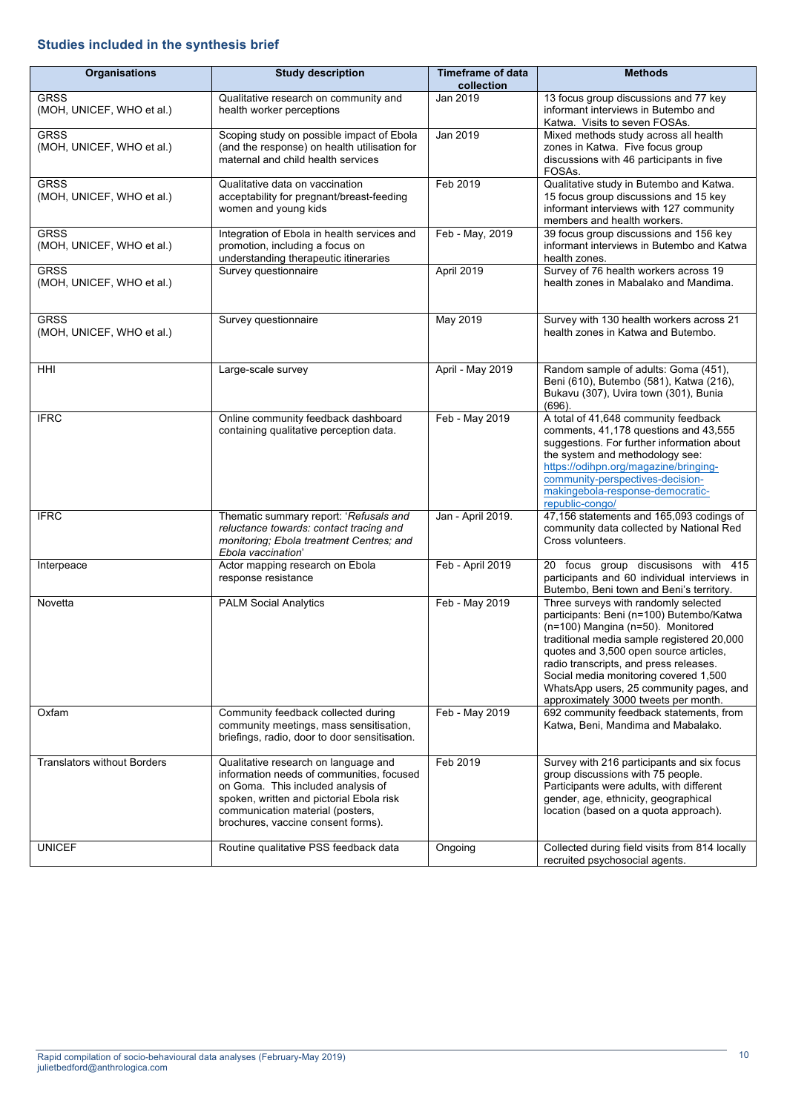# **Studies included in the synthesis brief**

| Organisations                            | <b>Study description</b>                                                                                                                                                                                                                      | <b>Timeframe of data</b><br>collection | <b>Methods</b>                                                                                                                                                                                                                                                                                                                                                                      |  |
|------------------------------------------|-----------------------------------------------------------------------------------------------------------------------------------------------------------------------------------------------------------------------------------------------|----------------------------------------|-------------------------------------------------------------------------------------------------------------------------------------------------------------------------------------------------------------------------------------------------------------------------------------------------------------------------------------------------------------------------------------|--|
| <b>GRSS</b><br>(MOH, UNICEF, WHO et al.) | Qualitative research on community and<br>health worker perceptions                                                                                                                                                                            | Jan 2019                               | 13 focus group discussions and 77 key<br>informant interviews in Butembo and<br>Katwa. Visits to seven FOSAs.                                                                                                                                                                                                                                                                       |  |
| <b>GRSS</b><br>(MOH, UNICEF, WHO et al.) | Scoping study on possible impact of Ebola<br>(and the response) on health utilisation for<br>maternal and child health services                                                                                                               | Jan 2019                               | Mixed methods study across all health<br>zones in Katwa. Five focus group<br>discussions with 46 participants in five<br>FOSAs.                                                                                                                                                                                                                                                     |  |
| <b>GRSS</b><br>(MOH, UNICEF, WHO et al.) | Qualitative data on vaccination<br>acceptability for pregnant/breast-feeding<br>women and young kids                                                                                                                                          | Feb 2019                               | Qualitative study in Butembo and Katwa.<br>15 focus group discussions and 15 key<br>informant interviews with 127 community<br>members and health workers.                                                                                                                                                                                                                          |  |
| <b>GRSS</b><br>(MOH, UNICEF, WHO et al.) | Integration of Ebola in health services and<br>promotion, including a focus on<br>understanding therapeutic itineraries                                                                                                                       | Feb - May, 2019                        | 39 focus group discussions and 156 key<br>informant interviews in Butembo and Katwa<br>health zones.                                                                                                                                                                                                                                                                                |  |
| <b>GRSS</b><br>(MOH, UNICEF, WHO et al.) | Survey questionnaire                                                                                                                                                                                                                          | April 2019                             | Survey of 76 health workers across 19<br>health zones in Mabalako and Mandima.                                                                                                                                                                                                                                                                                                      |  |
| <b>GRSS</b><br>(MOH, UNICEF, WHO et al.) | Survey questionnaire                                                                                                                                                                                                                          | May 2019                               | Survey with 130 health workers across 21<br>health zones in Katwa and Butembo.                                                                                                                                                                                                                                                                                                      |  |
| HHI                                      | Large-scale survey                                                                                                                                                                                                                            | April - May 2019                       | Random sample of adults: Goma (451),<br>Beni (610), Butembo (581), Katwa (216),<br>Bukavu (307), Uvira town (301), Bunia<br>$(696)$ .                                                                                                                                                                                                                                               |  |
| <b>IFRC</b>                              | Online community feedback dashboard<br>containing qualitative perception data.                                                                                                                                                                | Feb - May 2019                         | A total of 41,648 community feedback<br>comments, 41,178 questions and 43,555<br>suggestions. For further information about<br>the system and methodology see:<br>https://odihpn.org/magazine/bringing-<br>community-perspectives-decision-<br>makingebola-response-democratic-<br>republic-congo/                                                                                  |  |
| <b>IFRC</b>                              | Thematic summary report: 'Refusals and<br>reluctance towards: contact tracing and<br>monitoring; Ebola treatment Centres; and<br>Ebola vaccination'                                                                                           | Jan - April 2019.                      | 47,156 statements and 165,093 codings of<br>community data collected by National Red<br>Cross volunteers.                                                                                                                                                                                                                                                                           |  |
| Interpeace                               | Actor mapping research on Ebola<br>response resistance                                                                                                                                                                                        | Feb - April 2019                       | 20 focus group discusisons with 415<br>participants and 60 individual interviews in<br>Butembo, Beni town and Beni's territory.                                                                                                                                                                                                                                                     |  |
| Novetta                                  | <b>PALM Social Analytics</b>                                                                                                                                                                                                                  | Feb - May 2019                         | Three surveys with randomly selected<br>participants: Beni (n=100) Butembo/Katwa<br>(n=100) Mangina (n=50). Monitored<br>traditional media sample registered 20,000<br>quotes and 3,500 open source articles,<br>radio transcripts, and press releases.<br>Social media monitoring covered 1,500<br>WhatsApp users, 25 community pages, and<br>approximately 3000 tweets per month. |  |
| Oxfam                                    | Community feedback collected during<br>community meetings, mass sensitisation,<br>briefings, radio, door to door sensitisation.                                                                                                               | Feb - May 2019                         | 692 community feedback statements, from<br>Katwa, Beni, Mandima and Mabalako.                                                                                                                                                                                                                                                                                                       |  |
| <b>Translators without Borders</b>       | Qualitative research on language and<br>information needs of communities, focused<br>on Goma. This included analysis of<br>spoken, written and pictorial Ebola risk<br>communication material (posters,<br>brochures, vaccine consent forms). | Feb 2019                               | Survey with 216 participants and six focus<br>group discussions with 75 people.<br>Participants were adults, with different<br>gender, age, ethnicity, geographical<br>location (based on a quota approach).                                                                                                                                                                        |  |
| <b>UNICEF</b>                            | Routine qualitative PSS feedback data                                                                                                                                                                                                         | Ongoing                                | Collected during field visits from 814 locally<br>recruited psychosocial agents.                                                                                                                                                                                                                                                                                                    |  |